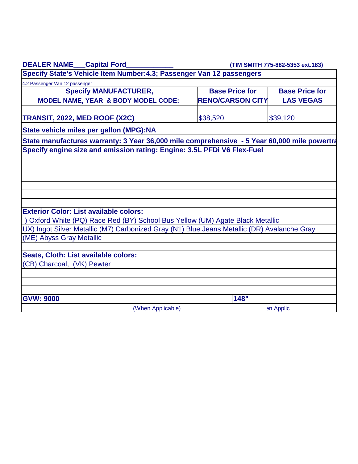| <b>DEALER NAME__Capital Ford_</b>                                                           | (TIM SMITH 775-882-5353 ext.183) |                       |  |  |
|---------------------------------------------------------------------------------------------|----------------------------------|-----------------------|--|--|
| Specify State's Vehicle Item Number: 4.3; Passenger Van 12 passengers                       |                                  |                       |  |  |
| 4.2 Passenger Van 12 passenger                                                              |                                  |                       |  |  |
| <b>Specify MANUFACTURER,</b>                                                                | <b>Base Price for</b>            | <b>Base Price for</b> |  |  |
| <b>MODEL NAME, YEAR &amp; BODY MODEL CODE:</b>                                              | <b>RENO/CARSON CITY</b>          | <b>LAS VEGAS</b>      |  |  |
| TRANSIT, 2022, MED ROOF (X2C)                                                               | \$38,520                         | \$39,120              |  |  |
| State vehicle miles per gallon (MPG):NA                                                     |                                  |                       |  |  |
| State manufactures warranty: 3 Year 36,000 mile comprehensive - 5 Year 60,000 mile powertra |                                  |                       |  |  |
| Specify engine size and emission rating: Engine: 3.5L PFDi V6 Flex-Fuel                     |                                  |                       |  |  |
|                                                                                             |                                  |                       |  |  |
|                                                                                             |                                  |                       |  |  |
|                                                                                             |                                  |                       |  |  |
|                                                                                             |                                  |                       |  |  |
|                                                                                             |                                  |                       |  |  |
| <b>Exterior Color: List available colors:</b>                                               |                                  |                       |  |  |
| ) Oxford White (PQ) Race Red (BY) School Bus Yellow (UM) Agate Black Metallic               |                                  |                       |  |  |
| UX) Ingot Silver Metallic (M7) Carbonized Gray (N1) Blue Jeans Metallic (DR) Avalanche Gray |                                  |                       |  |  |
| (ME) Abyss Gray Metallic                                                                    |                                  |                       |  |  |
|                                                                                             |                                  |                       |  |  |
| Seats, Cloth: List available colors:                                                        |                                  |                       |  |  |
| (CB) Charcoal, (VK) Pewter                                                                  |                                  |                       |  |  |
|                                                                                             |                                  |                       |  |  |
|                                                                                             |                                  |                       |  |  |
|                                                                                             |                                  |                       |  |  |
| <b>GVW: 9000</b>                                                                            | 148"                             |                       |  |  |
| (When Applicable)                                                                           |                                  | en Applic             |  |  |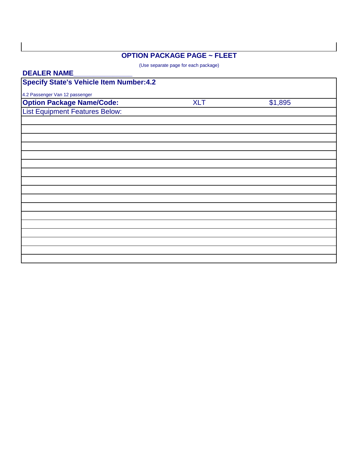## **OPTION PACKAGE PAGE ~ FLEET**

(Use separate page for each package)

| <b>DEALER NAME</b>                             |            |         |  |
|------------------------------------------------|------------|---------|--|
| <b>Specify State's Vehicle Item Number:4.2</b> |            |         |  |
| 4.2 Passenger Van 12 passenger                 |            |         |  |
| <b>Option Package Name/Code:</b>               | <b>XLT</b> | \$1,895 |  |
| <b>List Equipment Features Below:</b>          |            |         |  |
|                                                |            |         |  |
|                                                |            |         |  |
|                                                |            |         |  |
|                                                |            |         |  |
|                                                |            |         |  |
|                                                |            |         |  |
|                                                |            |         |  |
|                                                |            |         |  |
|                                                |            |         |  |
|                                                |            |         |  |
|                                                |            |         |  |
|                                                |            |         |  |
|                                                |            |         |  |
|                                                |            |         |  |
|                                                |            |         |  |
|                                                |            |         |  |
|                                                |            |         |  |
|                                                |            |         |  |
|                                                |            |         |  |